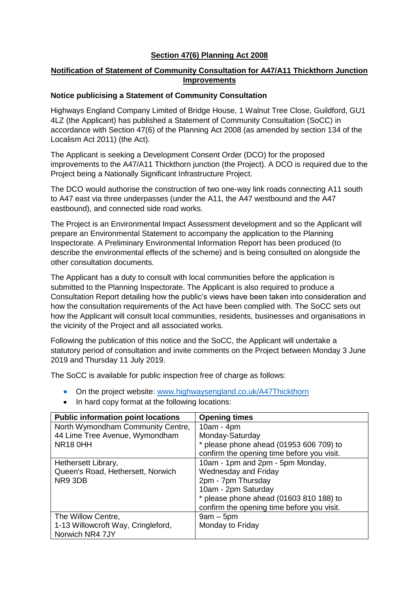### **Section 47(6) Planning Act 2008**

## **Notification of Statement of Community Consultation for A47/A11 Thickthorn Junction Improvements**

### **Notice publicising a Statement of Community Consultation**

Highways England Company Limited of Bridge House, 1 Walnut Tree Close, Guildford, GU1 4LZ (the Applicant) has published a Statement of Community Consultation (SoCC) in accordance with Section 47(6) of the Planning Act 2008 (as amended by section 134 of the Localism Act 2011) (the Act).

The Applicant is seeking a Development Consent Order (DCO) for the proposed improvements to the A47/A11 Thickthorn junction (the Project). A DCO is required due to the Project being a Nationally Significant Infrastructure Project.

The DCO would authorise the construction of two one-way link roads connecting A11 south to A47 east via three underpasses (under the A11, the A47 westbound and the A47 eastbound), and connected side road works.

The Project is an Environmental Impact Assessment development and so the Applicant will prepare an Environmental Statement to accompany the application to the Planning Inspectorate. A Preliminary Environmental Information Report has been produced (to describe the environmental effects of the scheme) and is being consulted on alongside the other consultation documents.

The Applicant has a duty to consult with local communities before the application is submitted to the Planning Inspectorate. The Applicant is also required to produce a Consultation Report detailing how the public's views have been taken into consideration and how the consultation requirements of the Act have been complied with. The SoCC sets out how the Applicant will consult local communities, residents, businesses and organisations in the vicinity of the Project and all associated works.

Following the publication of this notice and the SoCC, the Applicant will undertake a statutory period of consultation and invite comments on the Project between Monday 3 June 2019 and Thursday 11 July 2019.

The SoCC is available for public inspection free of charge as follows:

- On the project website: [www.highwaysengland.co.uk/A47Thickthorn](http://www.highwaysengland.co.uk/A47Thickthorn)
- In hard copy format at the following locations:

| <b>Public information point locations</b> | <b>Opening times</b>                       |  |  |
|-------------------------------------------|--------------------------------------------|--|--|
| North Wymondham Community Centre,         | $10am - 4pm$                               |  |  |
| 44 Lime Tree Avenue, Wymondham            | Monday-Saturday                            |  |  |
| <b>NR18 0HH</b>                           | * please phone ahead (01953 606 709) to    |  |  |
|                                           | confirm the opening time before you visit. |  |  |
| Hethersett Library,                       | 10am - 1pm and 2pm - 5pm Monday,           |  |  |
| Queen's Road, Hethersett, Norwich         | <b>Wednesday and Friday</b>                |  |  |
| NR9 3DB                                   | 2pm - 7pm Thursday                         |  |  |
|                                           | 10am - 2pm Saturday                        |  |  |
|                                           | * please phone ahead (01603 810 188) to    |  |  |
|                                           | confirm the opening time before you visit. |  |  |
| The Willow Centre,                        | $9am - 5pm$                                |  |  |
| 1-13 Willowcroft Way, Cringleford,        | Monday to Friday                           |  |  |
| Norwich NR4 7JY                           |                                            |  |  |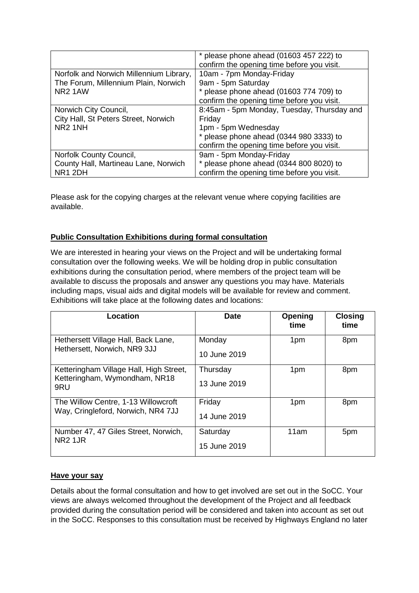|                                         | * please phone ahead (01603 457 222) to<br>confirm the opening time before you visit. |  |  |
|-----------------------------------------|---------------------------------------------------------------------------------------|--|--|
| Norfolk and Norwich Millennium Library, | 10am - 7pm Monday-Friday                                                              |  |  |
| The Forum, Millennium Plain, Norwich    | 9am - 5pm Saturday                                                                    |  |  |
| NR <sub>2</sub> 1AW                     | * please phone ahead (01603 774 709) to                                               |  |  |
|                                         | confirm the opening time before you visit.                                            |  |  |
| Norwich City Council,                   | 8:45am - 5pm Monday, Tuesday, Thursday and                                            |  |  |
| City Hall, St Peters Street, Norwich    | Friday                                                                                |  |  |
| NR <sub>2</sub> 1NH                     | 1pm - 5pm Wednesday                                                                   |  |  |
|                                         | $*$ please phone ahead (0344 980 3333) to                                             |  |  |
|                                         | confirm the opening time before you visit.                                            |  |  |
| Norfolk County Council,                 | 9am - 5pm Monday-Friday                                                               |  |  |
| County Hall, Martineau Lane, Norwich    | $*$ please phone ahead (0344 800 8020) to                                             |  |  |
| NR1 2DH                                 | confirm the opening time before you visit.                                            |  |  |

Please ask for the copying charges at the relevant venue where copying facilities are available.

# **Public Consultation Exhibitions during formal consultation**

We are interested in hearing your views on the Project and will be undertaking formal consultation over the following weeks. We will be holding drop in public consultation exhibitions during the consultation period, where members of the project team will be available to discuss the proposals and answer any questions you may have. Materials including maps, visual aids and digital models will be available for review and comment. Exhibitions will take place at the following dates and locations:

| <b>Location</b>                                                                 | <b>Date</b>              | Opening<br>time | <b>Closing</b><br>time |
|---------------------------------------------------------------------------------|--------------------------|-----------------|------------------------|
| Hethersett Village Hall, Back Lane,<br>Hethersett, Norwich, NR9 3JJ             | Monday<br>10 June 2019   | 1pm             | 8pm                    |
| Ketteringham Village Hall, High Street,<br>Ketteringham, Wymondham, NR18<br>9RU | Thursday<br>13 June 2019 | 1pm             | 8pm                    |
| The Willow Centre, 1-13 Willowcroft<br>Way, Cringleford, Norwich, NR4 7JJ       | Friday<br>14 June 2019   | 1pm             | 8pm                    |
| Number 47, 47 Giles Street, Norwich,<br><b>NR2 1JR</b>                          | Saturday<br>15 June 2019 | 11am            | 5pm                    |

#### **Have your say**

Details about the formal consultation and how to get involved are set out in the SoCC. Your views are always welcomed throughout the development of the Project and all feedback provided during the consultation period will be considered and taken into account as set out in the SoCC. Responses to this consultation must be received by Highways England no later